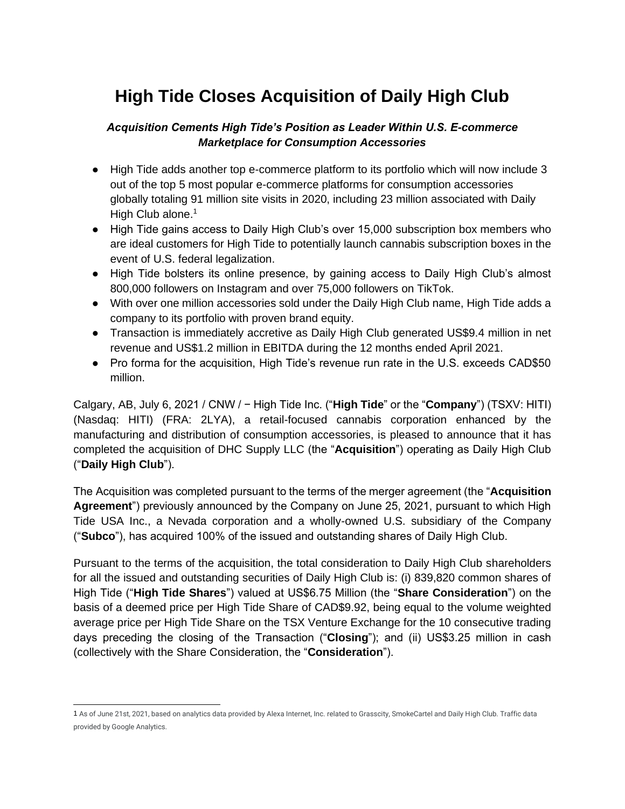# **High Tide Closes Acquisition of Daily High Club**

### *Acquisition Cements High Tide's Position as Leader Within U.S. E-commerce Marketplace for Consumption Accessories*

- High Tide adds another top e-commerce platform to its portfolio which will now include 3 out of the top 5 most popular e-commerce platforms for consumption accessories globally totaling 91 million site visits in 2020, including 23 million associated with Daily High Club alone.<sup>1</sup>
- High Tide gains access to Daily High Club's over 15,000 subscription box members who are ideal customers for High Tide to potentially launch cannabis subscription boxes in the event of U.S. federal legalization.
- High Tide bolsters its online presence, by gaining access to Daily High Club's almost 800,000 followers on Instagram and over 75,000 followers on TikTok.
- With over one million accessories sold under the Daily High Club name, High Tide adds a company to its portfolio with proven brand equity.
- Transaction is immediately accretive as Daily High Club generated US\$9.4 million in net revenue and US\$1.2 million in EBITDA during the 12 months ended April 2021.
- Pro forma for the acquisition, High Tide's revenue run rate in the U.S. exceeds CAD\$50 million.

Calgary, AB, July 6, 2021 / CNW / − High Tide Inc. ("**High Tide**" or the "**Company**") (TSXV: HITI) (Nasdaq: HITI) (FRA: 2LYA), a retail-focused cannabis corporation enhanced by the manufacturing and distribution of consumption accessories, is pleased to announce that it has completed the acquisition of DHC Supply LLC (the "**Acquisition**") operating as Daily High Club ("**Daily High Club**").

The Acquisition was completed pursuant to the terms of the merger agreement (the "**Acquisition Agreement**") previously announced by the Company on June 25, 2021, pursuant to which High Tide USA Inc., a Nevada corporation and a wholly-owned U.S. subsidiary of the Company ("**Subco**"), has acquired 100% of the issued and outstanding shares of Daily High Club.

Pursuant to the terms of the acquisition, the total consideration to Daily High Club shareholders for all the issued and outstanding securities of Daily High Club is: (i) 839,820 common shares of High Tide ("**High Tide Shares**") valued at US\$6.75 Million (the "**Share Consideration**") on the basis of a deemed price per High Tide Share of CAD\$9.92, being equal to the volume weighted average price per High Tide Share on the TSX Venture Exchange for the 10 consecutive trading days preceding the closing of the Transaction ("**Closing**"); and (ii) US\$3.25 million in cash (collectively with the Share Consideration, the "**Consideration**").

<sup>1</sup> As of June 21st, 2021, based on analytics data provided by Alexa Internet, Inc. related to Grasscity, SmokeCartel and Daily High Club. Traffic data provided by Google Analytics.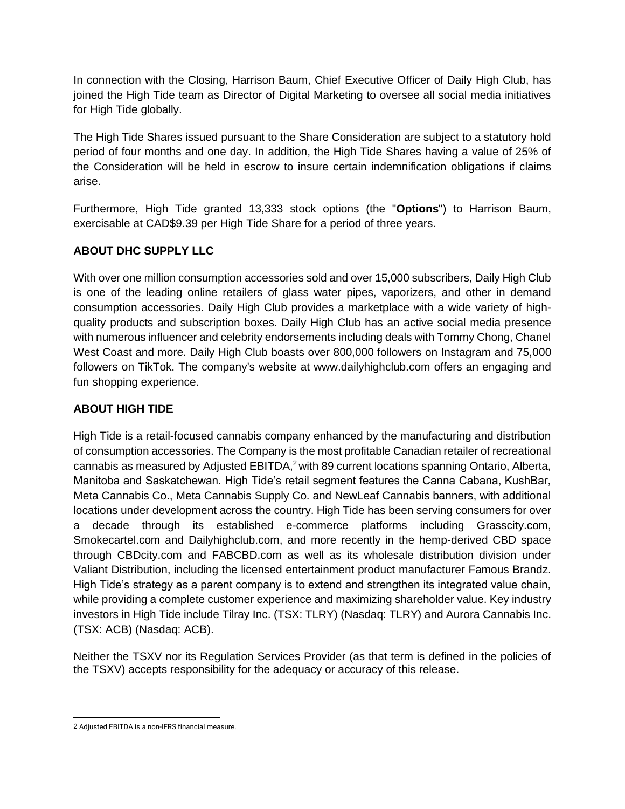In connection with the Closing, Harrison Baum, Chief Executive Officer of Daily High Club, has joined the High Tide team as Director of Digital Marketing to oversee all social media initiatives for High Tide globally.

The High Tide Shares issued pursuant to the Share Consideration are subject to a statutory hold period of four months and one day. In addition, the High Tide Shares having a value of 25% of the Consideration will be held in escrow to insure certain indemnification obligations if claims arise.

Furthermore, High Tide granted 13,333 stock options (the "**Options**") to Harrison Baum, exercisable at CAD\$9.39 per High Tide Share for a period of three years.

## **ABOUT DHC SUPPLY LLC**

With over one million consumption accessories sold and over 15,000 subscribers, Daily High Club is one of the leading online retailers of glass water pipes, vaporizers, and other in demand consumption accessories. Daily High Club provides a marketplace with a wide variety of highquality products and subscription boxes. Daily High Club has an active social media presence with numerous influencer and celebrity endorsements including deals with Tommy Chong, Chanel West Coast and more. Daily High Club boasts over 800,000 followers on Instagram and 75,000 followers on TikTok. The company's website at www.dailyhighclub.com offers an engaging and fun shopping experience.

## **ABOUT HIGH TIDE**

High Tide is a retail-focused cannabis company enhanced by the manufacturing and distribution of consumption accessories. The Company is the most profitable Canadian retailer of recreational cannabis as measured by Adjusted EBITDA,<sup>2</sup> with 89 current locations spanning Ontario, Alberta, Manitoba and Saskatchewan. High Tide's retail segment features the Canna Cabana, KushBar, Meta Cannabis Co., Meta Cannabis Supply Co. and NewLeaf Cannabis banners, with additional locations under development across the country. High Tide has been serving consumers for over a decade through its established e-commerce platforms including Grasscity.com, Smokecartel.com and Dailyhighclub.com, and more recently in the hemp-derived CBD space through CBDcity.com and FABCBD.com as well as its wholesale distribution division under Valiant Distribution, including the licensed entertainment product manufacturer Famous Brandz. High Tide's strategy as a parent company is to extend and strengthen its integrated value chain, while providing a complete customer experience and maximizing shareholder value. Key industry investors in High Tide include Tilray Inc. (TSX: TLRY) (Nasdaq: TLRY) and Aurora Cannabis Inc. (TSX: ACB) (Nasdaq: ACB).

Neither the TSXV nor its Regulation Services Provider (as that term is defined in the policies of the TSXV) accepts responsibility for the adequacy or accuracy of this release.

<sup>2</sup> Adjusted EBITDA is a non-IFRS financial measure.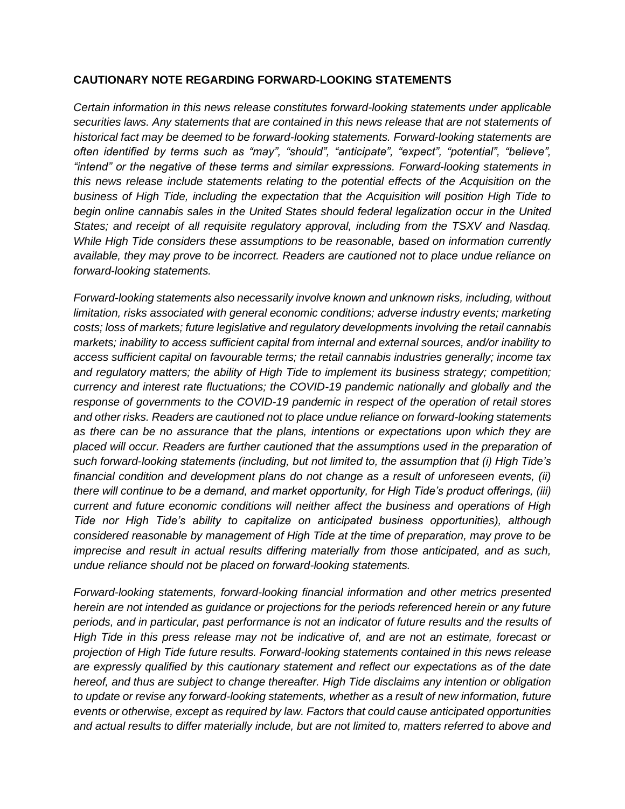#### **CAUTIONARY NOTE REGARDING FORWARD-LOOKING STATEMENTS**

*Certain information in this news release constitutes forward-looking statements under applicable securities laws. Any statements that are contained in this news release that are not statements of historical fact may be deemed to be forward-looking statements. Forward-looking statements are often identified by terms such as "may", "should", "anticipate", "expect", "potential", "believe", "intend" or the negative of these terms and similar expressions. Forward-looking statements in this news release include statements relating to the potential effects of the Acquisition on the business of High Tide, including the expectation that the Acquisition will position High Tide to begin online cannabis sales in the United States should federal legalization occur in the United States; and receipt of all requisite regulatory approval, including from the TSXV and Nasdaq. While High Tide considers these assumptions to be reasonable, based on information currently available, they may prove to be incorrect. Readers are cautioned not to place undue reliance on forward-looking statements.*

*Forward-looking statements also necessarily involve known and unknown risks, including, without limitation, risks associated with general economic conditions; adverse industry events; marketing costs; loss of markets; future legislative and regulatory developments involving the retail cannabis markets; inability to access sufficient capital from internal and external sources, and/or inability to access sufficient capital on favourable terms; the retail cannabis industries generally; income tax and regulatory matters; the ability of High Tide to implement its business strategy; competition; currency and interest rate fluctuations; the COVID-19 pandemic nationally and globally and the response of governments to the COVID-19 pandemic in respect of the operation of retail stores and other risks. Readers are cautioned not to place undue reliance on forward-looking statements as there can be no assurance that the plans, intentions or expectations upon which they are placed will occur. Readers are further cautioned that the assumptions used in the preparation of such forward-looking statements (including, but not limited to, the assumption that (i) High Tide's financial condition and development plans do not change as a result of unforeseen events, (ii) there will continue to be a demand, and market opportunity, for High Tide's product offerings, (iii) current and future economic conditions will neither affect the business and operations of High Tide nor High Tide's ability to capitalize on anticipated business opportunities), although considered reasonable by management of High Tide at the time of preparation, may prove to be imprecise and result in actual results differing materially from those anticipated, and as such, undue reliance should not be placed on forward-looking statements.*

*Forward-looking statements, forward-looking financial information and other metrics presented herein are not intended as guidance or projections for the periods referenced herein or any future periods, and in particular, past performance is not an indicator of future results and the results of High Tide in this press release may not be indicative of, and are not an estimate, forecast or projection of High Tide future results. Forward-looking statements contained in this news release are expressly qualified by this cautionary statement and reflect our expectations as of the date hereof, and thus are subject to change thereafter. High Tide disclaims any intention or obligation to update or revise any forward-looking statements, whether as a result of new information, future events or otherwise, except as required by law. Factors that could cause anticipated opportunities and actual results to differ materially include, but are not limited to, matters referred to above and*